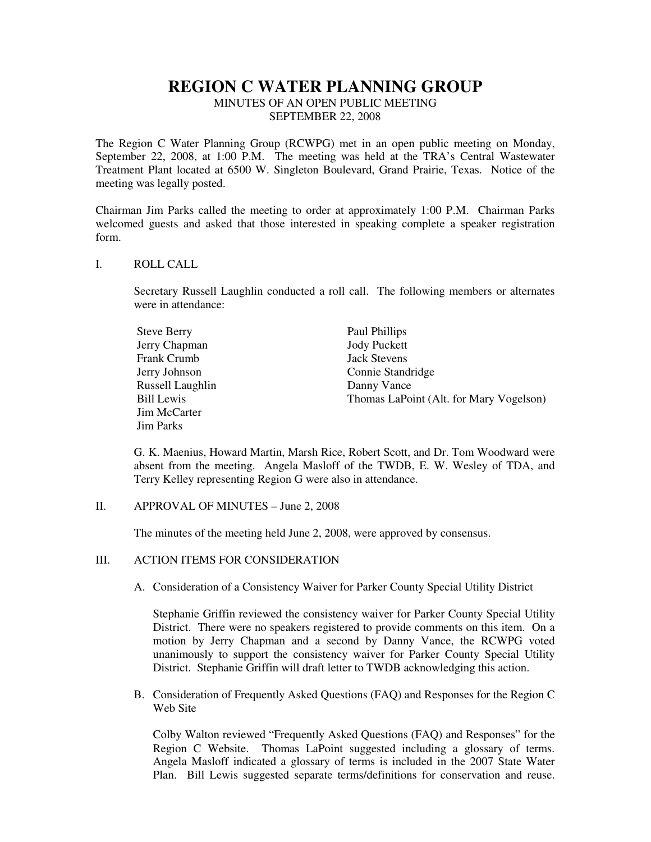# **REGION C WATER PLANNING GROUP**

MINUTES OF AN OPEN PUBLIC MEETING SEPTEMBER 22, 2008

The Region C Water Planning Group (RCWPG) met in an open public meeting on Monday, September 22, 2008, at 1:00 P.M. The meeting was held at the TRA's Central Wastewater Treatment Plant located at 6500 W. Singleton Boulevard, Grand Prairie, Texas. Notice of the meeting was legally posted.

Chairman Jim Parks called the meeting to order at approximately 1:00 P.M. Chairman Parks welcomed guests and asked that those interested in speaking complete a speaker registration form.

#### I. ROLL CALL

Secretary Russell Laughlin conducted a roll call. The following members or alternates were in attendance:

| <b>Steve Berry</b> | Paul Phillips                           |
|--------------------|-----------------------------------------|
| Jerry Chapman      | <b>Jody Puckett</b>                     |
| Frank Crumb        | <b>Jack Stevens</b>                     |
| Jerry Johnson      | Connie Standridge                       |
| Russell Laughlin   | Danny Vance                             |
| <b>Bill Lewis</b>  | Thomas LaPoint (Alt. for Mary Vogelson) |
| Jim McCarter       |                                         |
| <b>Jim Parks</b>   |                                         |

G. K. Maenius, Howard Martin, Marsh Rice, Robert Scott, and Dr. Tom Woodward were absent from the meeting. Angela Masloff of the TWDB, E. W. Wesley of TDA, and Terry Kelley representing Region G were also in attendance.

II. APPROVAL OF MINUTES – June 2, 2008

The minutes of the meeting held June 2, 2008, were approved by consensus.

### III. ACTION ITEMS FOR CONSIDERATION

A. Consideration of a Consistency Waiver for Parker County Special Utility District

Stephanie Griffin reviewed the consistency waiver for Parker County Special Utility District. There were no speakers registered to provide comments on this item. On a motion by Jerry Chapman and a second by Danny Vance, the RCWPG voted unanimously to support the consistency waiver for Parker County Special Utility District. Stephanie Griffin will draft letter to TWDB acknowledging this action.

B. Consideration of Frequently Asked Questions (FAQ) and Responses for the Region C Web Site

Colby Walton reviewed "Frequently Asked Questions (FAQ) and Responses" for the Region C Website. Thomas LaPoint suggested including a glossary of terms. Angela Masloff indicated a glossary of terms is included in the 2007 State Water Plan. Bill Lewis suggested separate terms/definitions for conservation and reuse.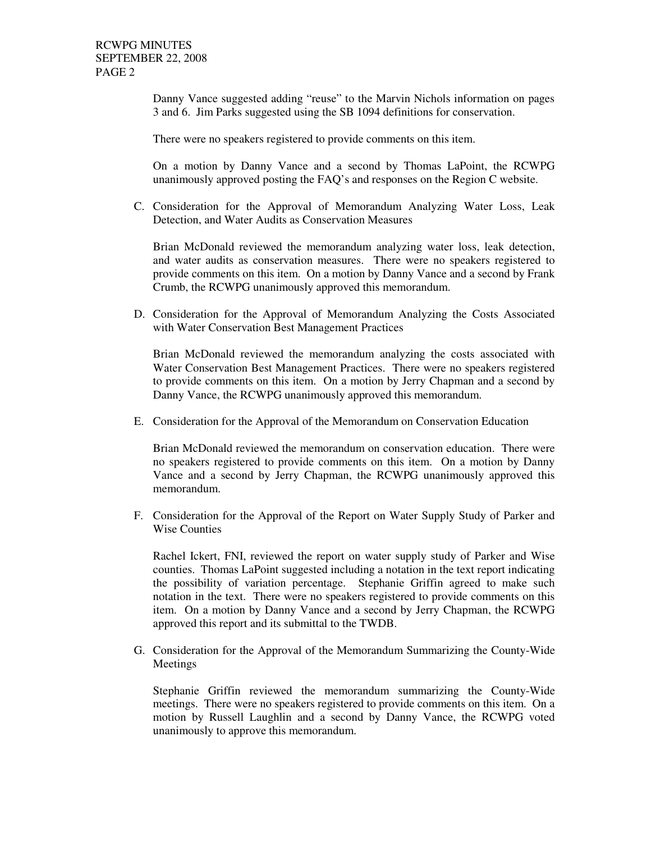Danny Vance suggested adding "reuse" to the Marvin Nichols information on pages 3 and 6. Jim Parks suggested using the SB 1094 definitions for conservation.

There were no speakers registered to provide comments on this item.

On a motion by Danny Vance and a second by Thomas LaPoint, the RCWPG unanimously approved posting the FAQ's and responses on the Region C website.

C. Consideration for the Approval of Memorandum Analyzing Water Loss, Leak Detection, and Water Audits as Conservation Measures

Brian McDonald reviewed the memorandum analyzing water loss, leak detection, and water audits as conservation measures. There were no speakers registered to provide comments on this item. On a motion by Danny Vance and a second by Frank Crumb, the RCWPG unanimously approved this memorandum.

D. Consideration for the Approval of Memorandum Analyzing the Costs Associated with Water Conservation Best Management Practices

Brian McDonald reviewed the memorandum analyzing the costs associated with Water Conservation Best Management Practices. There were no speakers registered to provide comments on this item. On a motion by Jerry Chapman and a second by Danny Vance, the RCWPG unanimously approved this memorandum.

E. Consideration for the Approval of the Memorandum on Conservation Education

Brian McDonald reviewed the memorandum on conservation education. There were no speakers registered to provide comments on this item. On a motion by Danny Vance and a second by Jerry Chapman, the RCWPG unanimously approved this memorandum.

F. Consideration for the Approval of the Report on Water Supply Study of Parker and Wise Counties

Rachel Ickert, FNI, reviewed the report on water supply study of Parker and Wise counties. Thomas LaPoint suggested including a notation in the text report indicating the possibility of variation percentage. Stephanie Griffin agreed to make such notation in the text. There were no speakers registered to provide comments on this item. On a motion by Danny Vance and a second by Jerry Chapman, the RCWPG approved this report and its submittal to the TWDB.

G. Consideration for the Approval of the Memorandum Summarizing the County-Wide Meetings

Stephanie Griffin reviewed the memorandum summarizing the County-Wide meetings. There were no speakers registered to provide comments on this item. On a motion by Russell Laughlin and a second by Danny Vance, the RCWPG voted unanimously to approve this memorandum.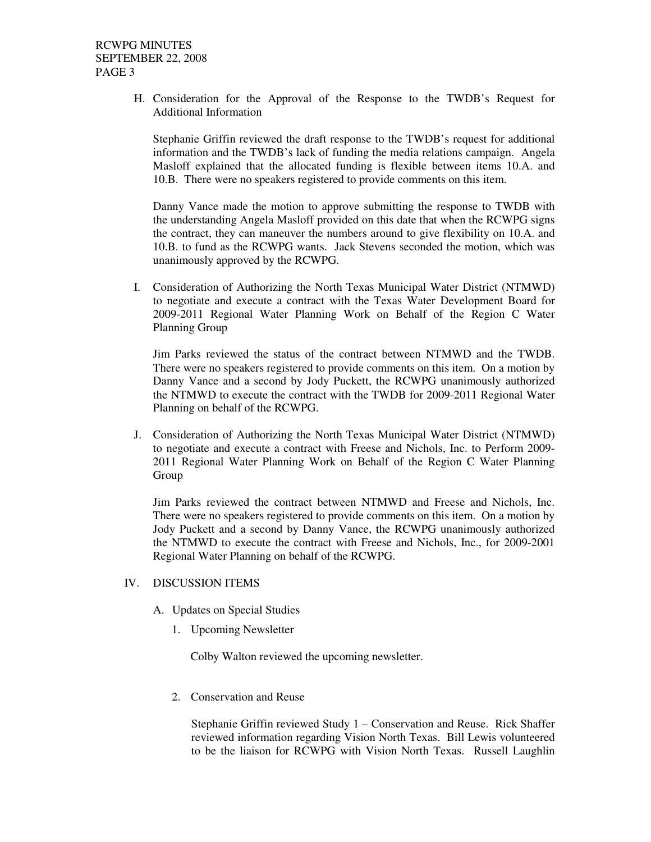H. Consideration for the Approval of the Response to the TWDB's Request for Additional Information

Stephanie Griffin reviewed the draft response to the TWDB's request for additional information and the TWDB's lack of funding the media relations campaign. Angela Masloff explained that the allocated funding is flexible between items 10.A. and 10.B. There were no speakers registered to provide comments on this item.

Danny Vance made the motion to approve submitting the response to TWDB with the understanding Angela Masloff provided on this date that when the RCWPG signs the contract, they can maneuver the numbers around to give flexibility on 10.A. and 10.B. to fund as the RCWPG wants. Jack Stevens seconded the motion, which was unanimously approved by the RCWPG.

I. Consideration of Authorizing the North Texas Municipal Water District (NTMWD) to negotiate and execute a contract with the Texas Water Development Board for 2009-2011 Regional Water Planning Work on Behalf of the Region C Water Planning Group

Jim Parks reviewed the status of the contract between NTMWD and the TWDB. There were no speakers registered to provide comments on this item. On a motion by Danny Vance and a second by Jody Puckett, the RCWPG unanimously authorized the NTMWD to execute the contract with the TWDB for 2009-2011 Regional Water Planning on behalf of the RCWPG.

J. Consideration of Authorizing the North Texas Municipal Water District (NTMWD) to negotiate and execute a contract with Freese and Nichols, Inc. to Perform 2009- 2011 Regional Water Planning Work on Behalf of the Region C Water Planning Group

Jim Parks reviewed the contract between NTMWD and Freese and Nichols, Inc. There were no speakers registered to provide comments on this item. On a motion by Jody Puckett and a second by Danny Vance, the RCWPG unanimously authorized the NTMWD to execute the contract with Freese and Nichols, Inc., for 2009-2001 Regional Water Planning on behalf of the RCWPG.

#### IV. DISCUSSION ITEMS

- A. Updates on Special Studies
	- 1. Upcoming Newsletter

Colby Walton reviewed the upcoming newsletter.

2. Conservation and Reuse

Stephanie Griffin reviewed Study 1 – Conservation and Reuse. Rick Shaffer reviewed information regarding Vision North Texas. Bill Lewis volunteered to be the liaison for RCWPG with Vision North Texas. Russell Laughlin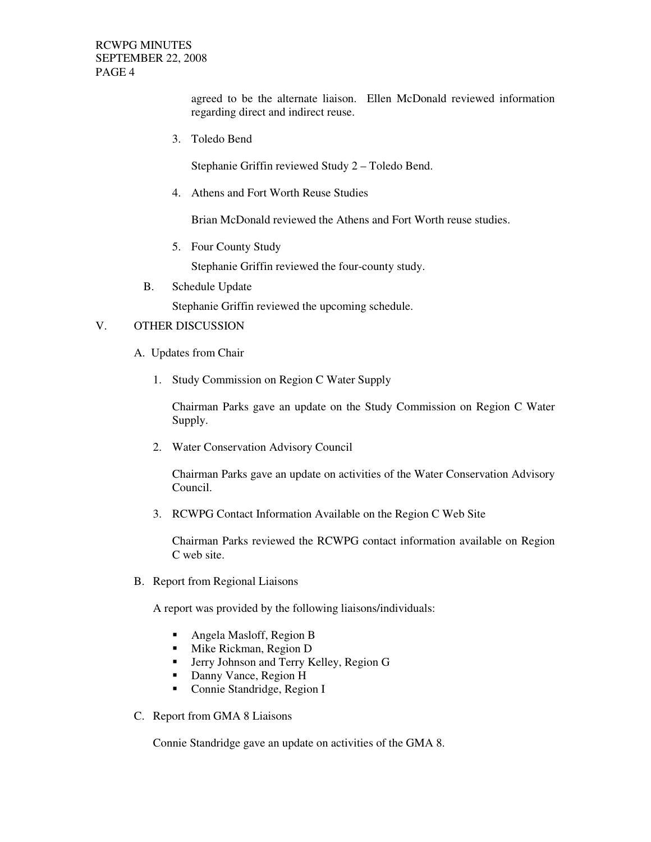RCWPG MINUTES SEPTEMBER 22, 2008 PAGE 4

> agreed to be the alternate liaison. Ellen McDonald reviewed information regarding direct and indirect reuse.

3. Toledo Bend

Stephanie Griffin reviewed Study 2 – Toledo Bend.

4. Athens and Fort Worth Reuse Studies

Brian McDonald reviewed the Athens and Fort Worth reuse studies.

5. Four County Study

Stephanie Griffin reviewed the four-county study.

B. Schedule Update

Stephanie Griffin reviewed the upcoming schedule.

## V. OTHER DISCUSSION

- A. Updates from Chair
	- 1. Study Commission on Region C Water Supply

Chairman Parks gave an update on the Study Commission on Region C Water Supply.

2. Water Conservation Advisory Council

Chairman Parks gave an update on activities of the Water Conservation Advisory Council.

3. RCWPG Contact Information Available on the Region C Web Site

Chairman Parks reviewed the RCWPG contact information available on Region C web site.

B. Report from Regional Liaisons

A report was provided by the following liaisons/individuals:

- Angela Masloff, Region B
- **Mike Rickman, Region D**
- **F** Jerry Johnson and Terry Kelley, Region G
- Danny Vance, Region H
- Connie Standridge, Region I
- C. Report from GMA 8 Liaisons

Connie Standridge gave an update on activities of the GMA 8.